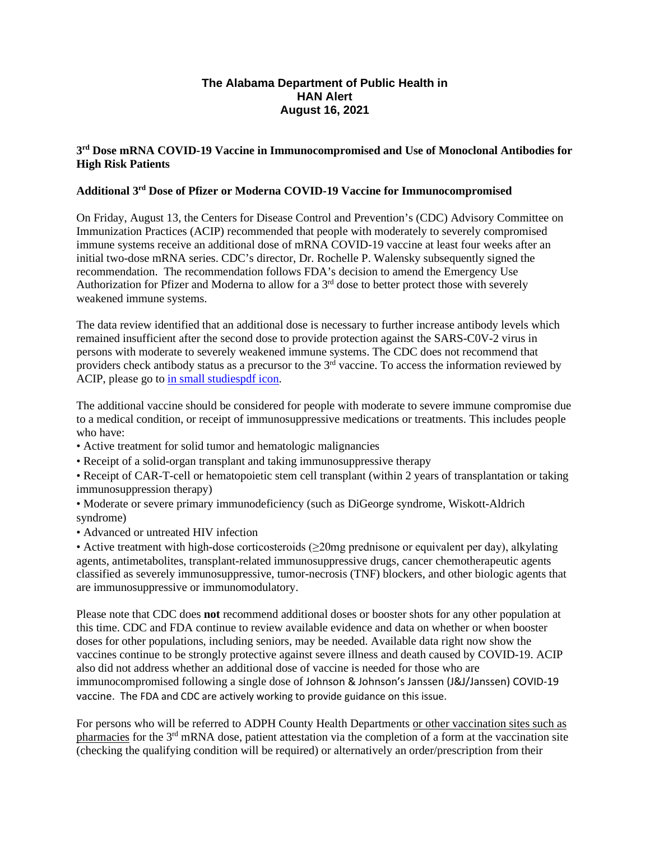## **The Alabama Department of Public Health in HAN Alert August 16, 2021**

## **3rd Dose mRNA COVID-19 Vaccine in Immunocompromised and Use of Monoclonal Antibodies for High Risk Patients**

## **Additional 3rd Dose of Pfizer or Moderna COVID-19 Vaccine for Immunocompromised**

On Friday, August 13, the Centers for Disease Control and Prevention's (CDC) Advisory Committee on Immunization Practices (ACIP) recommended that people with moderately to severely compromised immune systems receive an additional dose of mRNA COVID-19 vaccine at least four weeks after an initial two-dose mRNA series. CDC's director, Dr. Rochelle P. Walensky subsequently signed the recommendation. The recommendation follows FDA's decision to amend the Emergency Use Authorization for Pfizer and Moderna to allow for a  $3<sup>rd</sup>$  dose to better protect those with severely weakened immune systems.

The data review identified that an additional dose is necessary to further increase antibody levels which remained insufficient after the second dose to provide protection against the SARS-C0V-2 virus in persons with moderate to severely weakened immune systems. The CDC does not recommend that providers check antibody status as a precursor to the  $3<sup>rd</sup>$  vaccine. To access the information reviewed by ACIP, please go to [in small studiespdf](https://www.cdc.gov/vaccines/acip/meetings/downloads/slides-2021-07/07-COVID-Oliver-508.pdf) [icon.](https://www.cdc.gov/vaccines/acip/meetings/downloads/slides-2021-07/07-COVID-Oliver-508.pdf)

The additional vaccine should be considered for people with moderate to severe immune compromise due to a medical condition, or receipt of immunosuppressive medications or treatments. This includes people who have:

- Active treatment for solid tumor and hematologic malignancies
- Receipt of a solid-organ transplant and taking immunosuppressive therapy
- Receipt of CAR-T-cell or hematopoietic stem cell transplant (within 2 years of transplantation or taking immunosuppression therapy)
- Moderate or severe primary immunodeficiency (such as DiGeorge syndrome, Wiskott-Aldrich syndrome)
- Advanced or untreated HIV infection

• Active treatment with high-dose corticosteroids (≥20mg prednisone or equivalent per day), alkylating agents, antimetabolites, transplant-related immunosuppressive drugs, cancer chemotherapeutic agents classified as severely immunosuppressive, tumor-necrosis (TNF) blockers, and other biologic agents that are immunosuppressive or immunomodulatory.

Please note that CDC does **not** recommend additional doses or booster shots for any other population at this time. CDC and FDA continue to review available evidence and data on whether or when booster doses for other populations, including seniors, may be needed. Available data right now show the vaccines continue to be strongly protective against severe illness and death caused by COVID-19. ACIP also did not address whether an additional dose of vaccine is needed for those who are immunocompromised following a single dose of Johnson & Johnson's Janssen (J&J/Janssen) COVID-19 vaccine. The FDA and CDC are actively working to provide guidance on this issue.

For persons who will be referred to ADPH County Health Departments or other vaccination sites such as pharmacies for the 3<sup>rd</sup> mRNA dose, patient attestation via the completion of a form at the vaccination site (checking the qualifying condition will be required) or alternatively an order/prescription from their